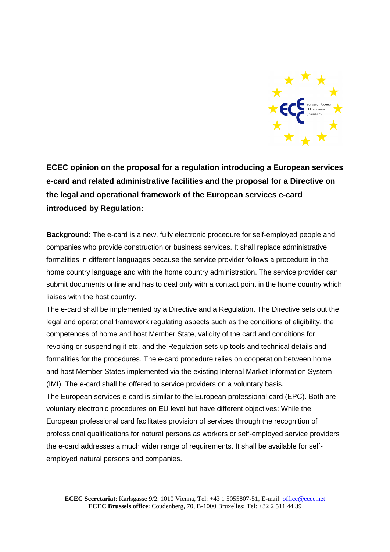

**ECEC opinion on the proposal for a regulation introducing a European services e-card and related administrative facilities and the proposal for a Directive on the legal and operational framework of the European services e-card introduced by Regulation:**

**Background:** The e-card is a new, fully electronic procedure for self-employed people and companies who provide construction or business services. It shall replace administrative formalities in different languages because the service provider follows a procedure in the home country language and with the home country administration. The service provider can submit documents online and has to deal only with a contact point in the home country which liaises with the host country.

The e-card shall be implemented by a Directive and a Regulation. The Directive sets out the legal and operational framework regulating aspects such as the conditions of eligibility, the competences of home and host Member State, validity of the card and conditions for revoking or suspending it etc. and the Regulation sets up tools and technical details and formalities for the procedures. The e-card procedure relies on cooperation between home and host Member States implemented via the existing Internal Market Information System (IMI). The e-card shall be offered to service providers on a voluntary basis.

The European services e-card is similar to the European professional card (EPC). Both are voluntary electronic procedures on EU level but have different objectives: While the European professional card facilitates provision of services through the recognition of professional qualifications for natural persons as workers or self-employed service providers the e-card addresses a much wider range of requirements. It shall be available for selfemployed natural persons and companies.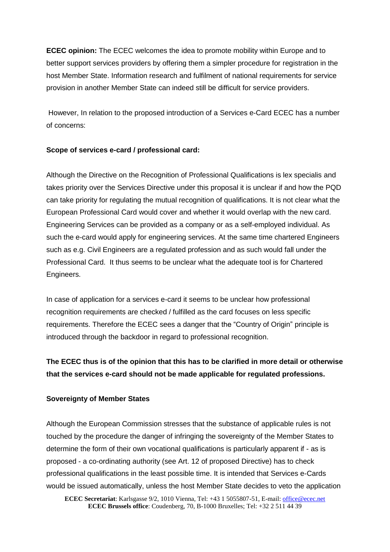**ECEC opinion:** The ECEC welcomes the idea to promote mobility within Europe and to better support services providers by offering them a simpler procedure for registration in the host Member State. Information research and fulfilment of national requirements for service provision in another Member State can indeed still be difficult for service providers.

However, In relation to the proposed introduction of a Services e-Card ECEC has a number of concerns:

## **Scope of services e-card / professional card:**

Although the Directive on the Recognition of Professional Qualifications is lex specialis and takes priority over the Services Directive under this proposal it is unclear if and how the PQD can take priority for regulating the mutual recognition of qualifications. It is not clear what the European Professional Card would cover and whether it would overlap with the new card. Engineering Services can be provided as a company or as a self-employed individual. As such the e-card would apply for engineering services. At the same time chartered Engineers such as e.g. Civil Engineers are a regulated profession and as such would fall under the Professional Card. It thus seems to be unclear what the adequate tool is for Chartered Engineers.

In case of application for a services e-card it seems to be unclear how professional recognition requirements are checked / fulfilled as the card focuses on less specific requirements. Therefore the ECEC sees a danger that the "Country of Origin" principle is introduced through the backdoor in regard to professional recognition.

## **The ECEC thus is of the opinion that this has to be clarified in more detail or otherwise that the services e-card should not be made applicable for regulated professions.**

## **Sovereignty of Member States**

Although the European Commission stresses that the substance of applicable rules is not touched by the procedure the danger of infringing the sovereignty of the Member States to determine the form of their own vocational qualifications is particularly apparent if - as is proposed - a co-ordinating authority (see Art. 12 of proposed Directive) has to check professional qualifications in the least possible time. It is intended that Services e-Cards would be issued automatically, unless the host Member State decides to veto the application